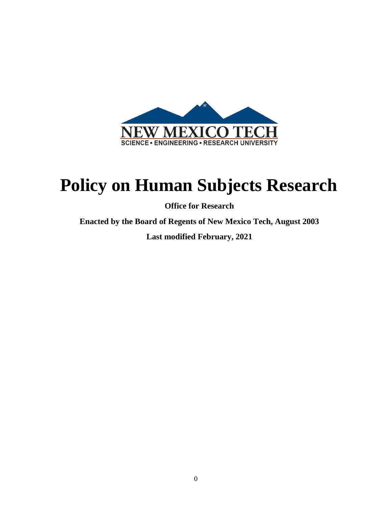

# **Policy on Human Subjects Research**

**Office for Research**

**Enacted by the Board of Regents of New Mexico Tech, August 2003**

**Last modified February, 2021**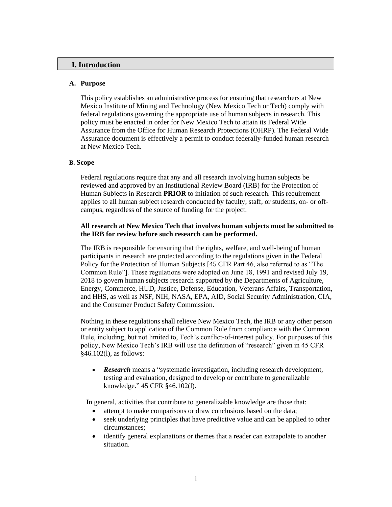### **I. Introduction**

#### **A. Purpose**

This policy establishes an administrative process for ensuring that researchers at New Mexico Institute of Mining and Technology (New Mexico Tech or Tech) comply with federal regulations governing the appropriate use of human subjects in research. This policy must be enacted in order for New Mexico Tech to attain its Federal Wide Assurance from the Office for Human Research Protections (OHRP). The Federal Wide Assurance document is effectively a permit to conduct federally-funded human research at New Mexico Tech.

#### **B. Scope**

Federal regulations require that any and all research involving human subjects be reviewed and approved by an Institutional Review Board (IRB) for the Protection of Human Subjects in Research **PRIOR** to initiation of such research. This requirement applies to all human subject research conducted by faculty, staff, or students, on- or offcampus, regardless of the source of funding for the project.

#### **All research at New Mexico Tech that involves human subjects must be submitted to the IRB for review before such research can be performed.**

The IRB is responsible for ensuring that the rights, welfare, and well-being of human participants in research are protected according to the regulations given in the Federal Policy for the Protection of Human Subjects [45 CFR Part 46, also referred to as "The Common Rule"]. These regulations were adopted on June 18, 1991 and revised July 19, 2018 to govern human subjects research supported by the Departments of Agriculture, Energy, Commerce, HUD, Justice, Defense, Education, Veterans Affairs, Transportation, and HHS, as well as NSF, NIH, NASA, EPA, AID, Social Security Administration, CIA, and the Consumer Product Safety Commission.

Nothing in these regulations shall relieve New Mexico Tech, the IRB or any other person or entity subject to application of the Common Rule from compliance with the Common Rule, including, but not limited to, Tech's conflict-of-interest policy. For purposes of this policy, New Mexico Tech's IRB will use the definition of "research" given in 45 CFR §46.102(l), as follows:

 *Research* means a "systematic investigation, including research development, testing and evaluation, designed to develop or contribute to generalizable knowledge." 45 CFR §46.102(l).

In general, activities that contribute to generalizable knowledge are those that:

- attempt to make comparisons or draw conclusions based on the data;
- seek underlying principles that have predictive value and can be applied to other circumstances;
- identify general explanations or themes that a reader can extrapolate to another situation.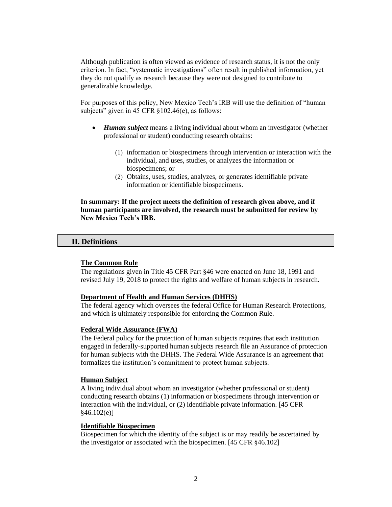Although publication is often viewed as evidence of research status, it is not the only criterion. In fact, "systematic investigations" often result in published information, yet they do not qualify as research because they were not designed to contribute to generalizable knowledge.

For purposes of this policy, New Mexico Tech's IRB will use the definition of "human subjects" given in 45 CFR §102.46(e), as follows:

- *Human subject* means a living individual about whom an investigator (whether professional or student) conducting research obtains:
	- (1) information or biospecimens through intervention or interaction with the individual, and uses, studies, or analyzes the information or biospecimens; or
	- (2) Obtains, uses, studies, analyzes, or generates identifiable private information or identifiable biospecimens.

#### **In summary: If the project meets the definition of research given above, and if human participants are involved, the research must be submitted for review by New Mexico Tech's IRB.**

### **II. Definitions**

#### **The Common Rule**

The regulations given in Title 45 CFR Part §46 were enacted on June 18, 1991 and revised July 19, 2018 to protect the rights and welfare of human subjects in research.

#### **Department of Health and Human Services (DHHS)**

The federal agency which oversees the federal Office for Human Research Protections, and which is ultimately responsible for enforcing the Common Rule.

#### **Federal Wide Assurance (FWA)**

The Federal policy for the protection of human subjects requires that each institution engaged in federally-supported human subjects research file an Assurance of protection for human subjects with the DHHS. The Federal Wide Assurance is an agreement that formalizes the institution's commitment to protect human subjects.

#### **Human Subject**

A living individual about whom an investigator (whether professional or student) conducting research obtains (1) information or biospecimens through intervention or interaction with the individual, or (2) identifiable private information. [45 CFR  $§46.102(e)]$ 

#### **Identifiable Biospecimen**

Biospecimen for which the identity of the subject is or may readily be ascertained by the investigator or associated with the biospecimen. [45 CFR §46.102]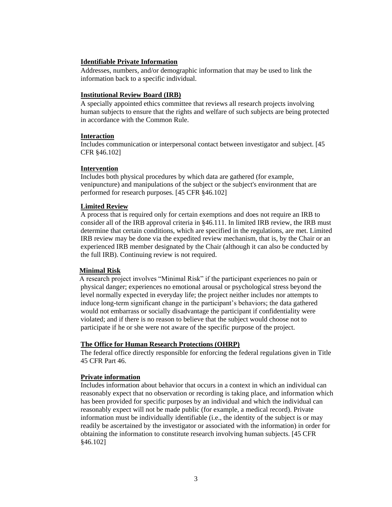## **Identifiable Private Information**

Addresses, numbers, and/or demographic information that may be used to link the information back to a specific individual.

## **Institutional Review Board (IRB)**

A specially appointed ethics committee that reviews all research projects involving human subjects to ensure that the rights and welfare of such subjects are being protected in accordance with the Common Rule.

### **Interaction**

Includes communication or interpersonal contact between investigator and subject. [45 CFR §46.102]

## **Intervention**

Includes both physical procedures by which data are gathered (for example, venipuncture) and manipulations of the subject or the subject's environment that are performed for research purposes. [45 CFR §46.102]

## **Limited Review**

A process that is required only for certain exemptions and does not require an IRB to consider all of the IRB approval criteria in §46.111. In limited IRB review, the IRB must determine that certain conditions, which are specified in the regulations, are met. Limited IRB review may be done via the expedited review mechanism, that is, by the Chair or an experienced IRB member designated by the Chair (although it can also be conducted by the full IRB). Continuing review is not required.

## **Minimal Risk**

A research project involves "Minimal Risk" if the participant experiences no pain or physical danger; experiences no emotional arousal or psychological stress beyond the level normally expected in everyday life; the project neither includes nor attempts to induce long-term significant change in the participant's behaviors; the data gathered would not embarrass or socially disadvantage the participant if confidentiality were violated; and if there is no reason to believe that the subject would choose not to participate if he or she were not aware of the specific purpose of the project.

#### **The Office for Human Research Protections (OHRP)**

The federal office directly responsible for enforcing the federal regulations given in Title 45 CFR Part 46.

## **Private information**

Includes information about behavior that occurs in a context in which an individual can reasonably expect that no observation or recording is taking place, and information which has been provided for specific purposes by an individual and which the individual can reasonably expect will not be made public (for example, a medical record). Private information must be individually identifiable (i.e., the identity of the subject is or may readily be ascertained by the investigator or associated with the information) in order for obtaining the information to constitute research involving human subjects. [45 CFR §46.102]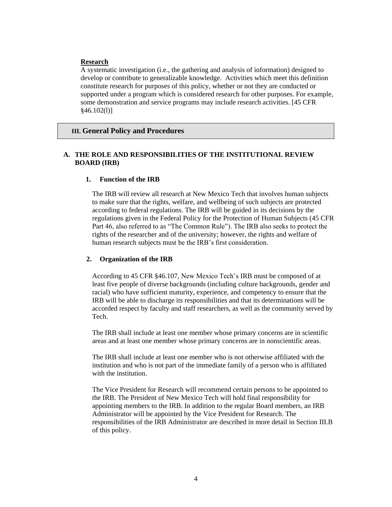#### **Research**

A systematic investigation (i.e., the gathering and analysis of information) designed to develop or contribute to generalizable knowledge. Activities which meet this definition constitute research for purposes of this policy, whether or not they are conducted or supported under a program which is considered research for other purposes. For example, some demonstration and service programs may include research activities. [45 CFR  $§46.102(1)]$ 

### **III. General Policy and Procedures**

# **A. THE ROLE AND RESPONSIBILITIES OF THE INSTITUTIONAL REVIEW BOARD (IRB)**

## **1. Function of the IRB**

The IRB will review all research at New Mexico Tech that involves human subjects to make sure that the rights, welfare, and wellbeing of such subjects are protected according to federal regulations. The IRB will be guided in its decisions by the regulations given in the Federal Policy for the Protection of Human Subjects (45 CFR Part 46, also referred to as "The Common Rule"). The IRB also seeks to protect the rights of the researcher and of the university; however, the rights and welfare of human research subjects must be the IRB's first consideration.

## **2. Organization of the IRB**

According to 45 CFR §46.107, New Mexico Tech's IRB must be composed of at least five people of diverse backgrounds (including culture backgrounds, gender and racial) who have sufficient maturity, experience, and competency to ensure that the IRB will be able to discharge its responsibilities and that its determinations will be accorded respect by faculty and staff researchers, as well as the community served by Tech.

The IRB shall include at least one member whose primary concerns are in scientific areas and at least one member whose primary concerns are in nonscientific areas.

The IRB shall include at least one member who is not otherwise affiliated with the institution and who is not part of the immediate family of a person who is affiliated with the institution.

The Vice President for Research will recommend certain persons to be appointed to the IRB. The President of New Mexico Tech will hold final responsibility for appointing members to the IRB. In addition to the regular Board members, an IRB Administrator will be appointed by the Vice President for Research. The responsibilities of the IRB Administrator are described in more detail in Section III.B of this policy.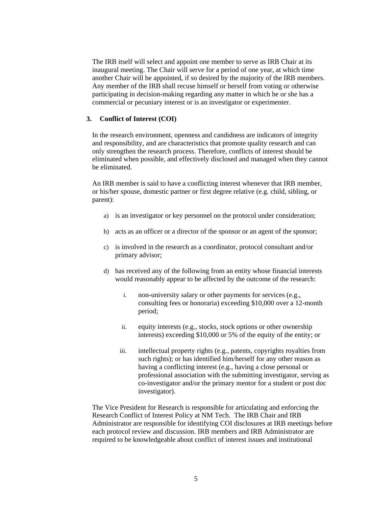The IRB itself will select and appoint one member to serve as IRB Chair at its inaugural meeting. The Chair will serve for a period of one year, at which time another Chair will be appointed, if so desired by the majority of the IRB members. Any member of the IRB shall recuse himself or herself from voting or otherwise participating in decision-making regarding any matter in which he or she has a commercial or pecuniary interest or is an investigator or experimenter.

#### **3. Conflict of Interest (COI)**

In the research environment, openness and candidness are indicators of integrity and responsibility, and are characteristics that promote quality research and can only strengthen the research process. Therefore, conflicts of interest should be eliminated when possible, and effectively disclosed and managed when they cannot be eliminated.

An IRB member is said to have a conflicting interest whenever that IRB member, or his/her spouse, domestic partner or first degree relative (e.g. child, sibling, or parent):

- a) is an investigator or key personnel on the protocol under consideration;
- b) acts as an officer or a director of the sponsor or an agent of the sponsor;
- c) is involved in the research as a coordinator, protocol consultant and/or primary advisor;
- d) has received any of the following from an entity whose financial interests would reasonably appear to be affected by the outcome of the research:
	- i. non-university salary or other payments for services (e.g., consulting fees or honoraria) exceeding \$10,000 over a 12-month period;
	- ii. equity interests (e.g., stocks, stock options or other ownership interests) exceeding \$10,000 or 5% of the equity of the entity; or
	- iii. intellectual property rights (e.g., patents, copyrights royalties from such rights); or has identified him/herself for any other reason as having a conflicting interest (e.g., having a close personal or professional association with the submitting investigator, serving as co-investigator and/or the primary mentor for a student or post doc investigator).

The Vice President for Research is responsible for articulating and enforcing the Research Conflict of Interest Policy at NM Tech. The IRB Chair and IRB Administrator are responsible for identifying COI disclosures at IRB meetings before each protocol review and discussion. IRB members and IRB Administrator are required to be knowledgeable about conflict of interest issues and institutional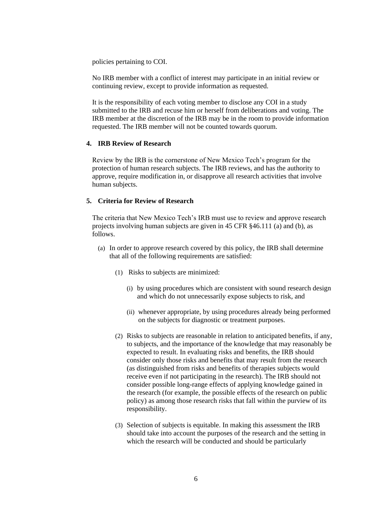policies pertaining to COI.

No IRB member with a conflict of interest may participate in an initial review or continuing review, except to provide information as requested.

It is the responsibility of each voting member to disclose any COI in a study submitted to the IRB and recuse him or herself from deliberations and voting. The IRB member at the discretion of the IRB may be in the room to provide information requested. The IRB member will not be counted towards quorum.

#### **4. IRB Review of Research**

Review by the IRB is the cornerstone of New Mexico Tech's program for the protection of human research subjects. The IRB reviews, and has the authority to approve, require modification in, or disapprove all research activities that involve human subjects.

#### **5. Criteria for Review of Research**

The criteria that New Mexico Tech's IRB must use to review and approve research projects involving human subjects are given in 45 CFR §46.111 (a) and (b), as follows.

- (a) In order to approve research covered by this policy, the IRB shall determine that all of the following requirements are satisfied:
	- (1) Risks to subjects are minimized:
		- (i) by using procedures which are consistent with sound research design and which do not unnecessarily expose subjects to risk, and
		- (ii) whenever appropriate, by using procedures already being performed on the subjects for diagnostic or treatment purposes.
	- (2) Risks to subjects are reasonable in relation to anticipated benefits, if any, to subjects, and the importance of the knowledge that may reasonably be expected to result. In evaluating risks and benefits, the IRB should consider only those risks and benefits that may result from the research (as distinguished from risks and benefits of therapies subjects would receive even if not participating in the research). The IRB should not consider possible long-range effects of applying knowledge gained in the research (for example, the possible effects of the research on public policy) as among those research risks that fall within the purview of its responsibility.
	- (3) Selection of subjects is equitable. In making this assessment the IRB should take into account the purposes of the research and the setting in which the research will be conducted and should be particularly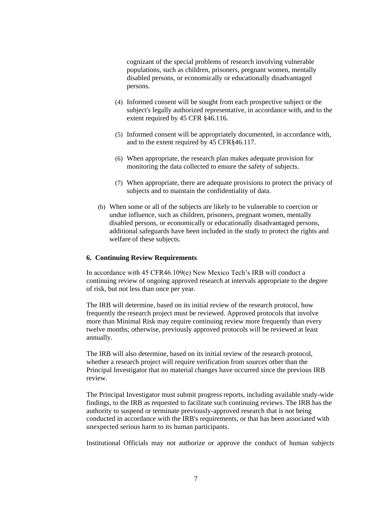cognizant of the special problems of research involving vulnerable populations, such as children, prisoners, pregnant women, mentally disabled persons, or economically or educationally disadvantaged persons.

- (4) Informed consent will be sought from each prospective subject or the subject's legally authorized representative, in accordance with, and to the extent required by 45 CFR §46.116.
- (5) Informed consent will be appropriately documented, in accordance with, and to the extent required by 45 CFR§46.117.
- (6) When appropriate, the research plan makes adequate provision for monitoring the data collected to ensure the safety of subjects.
- (7) When appropriate, there are adequate provisions to protect the privacy of subjects and to maintain the confidentiality of data.
- (b) When some or all of the subjects are likely to be vulnerable to coercion or undue influence, such as children, prisoners, pregnant women, mentally disabled persons, or economically or educationally disadvantaged persons, additional safeguards have been included in the study to protect the rights and welfare of these subjects.

### **6. Continuing Review Requirements**

In accordance with 45 CFR46.109(e) New Mexico Tech's IRB will conduct a continuing review of ongoing approved research at intervals appropriate to the degree of risk, but not less than once per year.

The IRB will determine, based on its initial review of the research protocol, how frequently the research project must be reviewed. Approved protocols that involve more than Minimal Risk may require continuing review more frequently than every twelve months; otherwise, previously approved protocols will be reviewed at least annually.

The IRB will also determine, based on its initial review of the research protocol, whether a research project will require verification from sources other than the Principal Investigator that no material changes have occurred since the previous IRB review.

The Principal Investigator must submit progress reports, including available study-wide findings, to the IRB as requested to facilitate such continuing reviews. The IRB has the authority to suspend or terminate previously-approved research that is not being conducted in accordance with the IRB's requirements, or that has been associated with unexpected serious harm to its human participants.

Institutional Officials may not authorize or approve the conduct of human subjects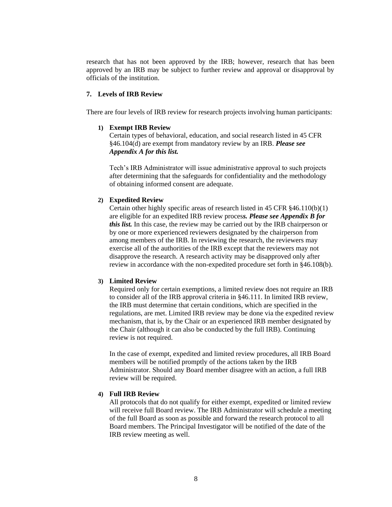research that has not been approved by the IRB; however, research that has been approved by an IRB may be subject to further review and approval or disapproval by officials of the institution.

#### **7. Levels of IRB Review**

There are four levels of IRB review for research projects involving human participants:

#### **1) Exempt IRB Review**

Certain types of behavioral, education, and social research listed in 45 CFR §46.104(d) are exempt from mandatory review by an IRB. *Please see Appendix A for this list.*

Tech's IRB Administrator will issue administrative approval to such projects after determining that the safeguards for confidentiality and the methodology of obtaining informed consent are adequate.

### **2) Expedited Review**

Certain other highly specific areas of research listed in 45 CFR §46.110(b)(1) are eligible for an expedited IRB review proces*s. Please see Appendix B for this list.* In this case, the review may be carried out by the IRB chairperson or by one or more experienced reviewers designated by the chairperson from among members of the IRB. In reviewing the research, the reviewers may exercise all of the authorities of the IRB except that the reviewers may not disapprove the research. A research activity may be disapproved only after review in accordance with the non-expedited procedure set forth in §46.108(b).

#### **3) Limited Review**

Required only for certain exemptions, a limited review does not require an IRB to consider all of the IRB approval criteria in §46.111. In limited IRB review, the IRB must determine that certain conditions, which are specified in the regulations, are met. Limited IRB review may be done via the expedited review mechanism, that is, by the Chair or an experienced IRB member designated by the Chair (although it can also be conducted by the full IRB). Continuing review is not required.

In the case of exempt, expedited and limited review procedures, all IRB Board members will be notified promptly of the actions taken by the IRB Administrator. Should any Board member disagree with an action, a full IRB review will be required.

## **4) Full IRB Review**

All protocols that do not qualify for either exempt, expedited or limited review will receive full Board review. The IRB Administrator will schedule a meeting of the full Board as soon as possible and forward the research protocol to all Board members. The Principal Investigator will be notified of the date of the IRB review meeting as well.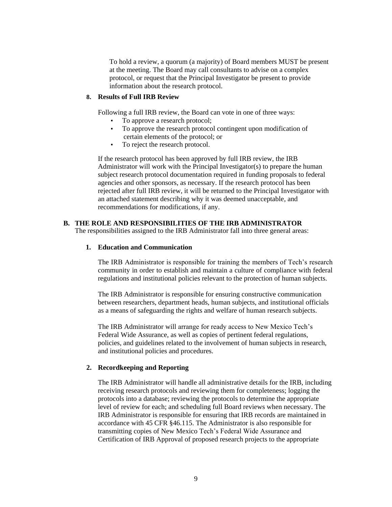To hold a review, a quorum (a majority) of Board members MUST be present at the meeting. The Board may call consultants to advise on a complex protocol, or request that the Principal Investigator be present to provide information about the research protocol.

#### **8. Results of Full IRB Review**

Following a full IRB review, the Board can vote in one of three ways:

- To approve a research protocol;
- To approve the research protocol contingent upon modification of certain elements of the protocol; or
- To reject the research protocol.

If the research protocol has been approved by full IRB review, the IRB Administrator will work with the Principal Investigator(s) to prepare the human subject research protocol documentation required in funding proposals to federal agencies and other sponsors, as necessary. If the research protocol has been rejected after full IRB review, it will be returned to the Principal Investigator with an attached statement describing why it was deemed unacceptable, and recommendations for modifications, if any.

#### **B. THE ROLE AND RESPONSIBILITIES OF THE IRB ADMINISTRATOR**

The responsibilities assigned to the IRB Administrator fall into three general areas:

## **1. Education and Communication**

The IRB Administrator is responsible for training the members of Tech's research community in order to establish and maintain a culture of compliance with federal regulations and institutional policies relevant to the protection of human subjects.

The IRB Administrator is responsible for ensuring constructive communication between researchers, department heads, human subjects, and institutional officials as a means of safeguarding the rights and welfare of human research subjects.

The IRB Administrator will arrange for ready access to New Mexico Tech's Federal Wide Assurance, as well as copies of pertinent federal regulations, policies, and guidelines related to the involvement of human subjects in research, and institutional policies and procedures.

#### **2. Recordkeeping and Reporting**

The IRB Administrator will handle all administrative details for the IRB, including receiving research protocols and reviewing them for completeness; logging the protocols into a database; reviewing the protocols to determine the appropriate level of review for each; and scheduling full Board reviews when necessary. The IRB Administrator is responsible for ensuring that IRB records are maintained in accordance with 45 CFR §46.115. The Administrator is also responsible for transmitting copies of New Mexico Tech's Federal Wide Assurance and Certification of IRB Approval of proposed research projects to the appropriate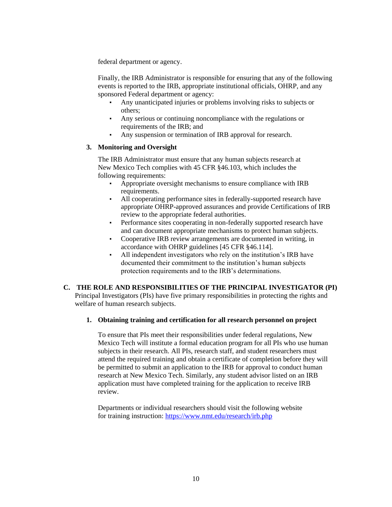federal department or agency.

Finally, the IRB Administrator is responsible for ensuring that any of the following events is reported to the IRB, appropriate institutional officials, OHRP, and any sponsored Federal department or agency:

- Any unanticipated injuries or problems involving risks to subjects or others;
- Any serious or continuing noncompliance with the regulations or requirements of the IRB; and
- Any suspension or termination of IRB approval for research.

## **3. Monitoring and Oversight**

The IRB Administrator must ensure that any human subjects research at New Mexico Tech complies with 45 CFR §46.103, which includes the following requirements:

- Appropriate oversight mechanisms to ensure compliance with IRB requirements.
- All cooperating performance sites in federally-supported research have appropriate OHRP-approved assurances and provide Certifications of IRB review to the appropriate federal authorities.
- Performance sites cooperating in non-federally supported research have and can document appropriate mechanisms to protect human subjects.
- Cooperative IRB review arrangements are documented in writing, in accordance with OHRP guidelines [45 CFR §46.114].
- All independent investigators who rely on the institution's IRB have documented their commitment to the institution's human subjects protection requirements and to the IRB's determinations.

# **C. THE ROLE AND RESPONSIBILITIES OF THE PRINCIPAL INVESTIGATOR (PI)**

Principal Investigators (PIs) have five primary responsibilities in protecting the rights and welfare of human research subjects.

**1. Obtaining training and certification for all research personnel on project**

To ensure that PIs meet their responsibilities under federal regulations, New Mexico Tech will institute a formal education program for all PIs who use human subjects in their research. All PIs, research staff, and student researchers must attend the required training and obtain a certificate of completion before they will be permitted to submit an application to the IRB for approval to conduct human research at New Mexico Tech. Similarly, any student advisor listed on an IRB application must have completed training for the application to receive IRB review.

Departments or individual researchers should visit the following website for training instruction:<https://www.nmt.edu/research/irb.php>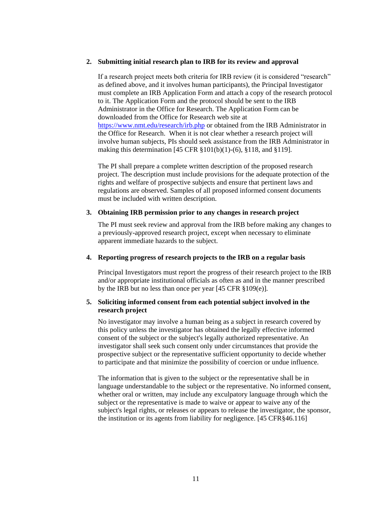#### **2. Submitting initial research plan to IRB for its review and approval**

If a research project meets both criteria for IRB review (it is considered "research" as defined above, and it involves human participants), the Principal Investigator must complete an IRB Application Form and attach a copy of the research protocol to it. The Application Form and the protocol should be sent to the IRB Administrator in the Office for Research. The Application Form can be downloaded from the Office for Research web site at <https://www.nmt.edu/research/irb.php> or obtained from the IRB Administrator in the Office for Research. When it is not clear whether a research project will involve human subjects, PIs should seek assistance from the IRB Administrator in making this determination [45 CFR §101(b)(1)-(6), §118, and §119].

The PI shall prepare a complete written description of the proposed research project. The description must include provisions for the adequate protection of the rights and welfare of prospective subjects and ensure that pertinent laws and regulations are observed. Samples of all proposed informed consent documents must be included with written description.

#### **3. Obtaining IRB permission prior to any changes in research project**

The PI must seek review and approval from the IRB before making any changes to a previously-approved research project, except when necessary to eliminate apparent immediate hazards to the subject.

### **4. Reporting progress of research projects to the IRB on a regular basis**

Principal Investigators must report the progress of their research project to the IRB and/or appropriate institutional officials as often as and in the manner prescribed by the IRB but no less than once per year [45 CFR §109(e)].

### **5. Soliciting informed consent from each potential subject involved in the research project**

No investigator may involve a human being as a subject in research covered by this policy unless the investigator has obtained the legally effective informed consent of the subject or the subject's legally authorized representative. An investigator shall seek such consent only under circumstances that provide the prospective subject or the representative sufficient opportunity to decide whether to participate and that minimize the possibility of coercion or undue influence.

The information that is given to the subject or the representative shall be in language understandable to the subject or the representative. No informed consent, whether oral or written, may include any exculpatory language through which the subject or the representative is made to waive or appear to waive any of the subject's legal rights, or releases or appears to release the investigator, the sponsor, the institution or its agents from liability for negligence. [45 CFR§46.116]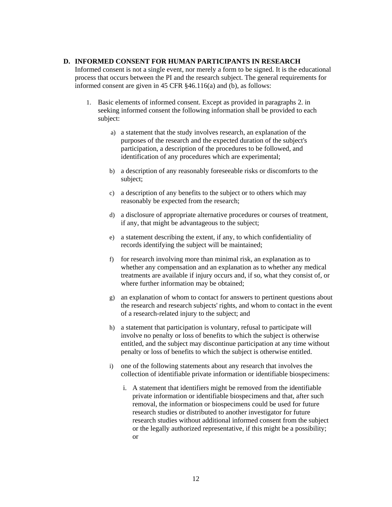## **D. INFORMED CONSENT FOR HUMAN PARTICIPANTS IN RESEARCH**

Informed consent is not a single event, nor merely a form to be signed. It is the educational process that occurs between the PI and the research subject. The general requirements for informed consent are given in 45 CFR §46.116(a) and (b), as follows:

- 1. Basic elements of informed consent. Except as provided in paragraphs 2. in seeking informed consent the following information shall be provided to each subject:
	- a) a statement that the study involves research, an explanation of the purposes of the research and the expected duration of the subject's participation, a description of the procedures to be followed, and identification of any procedures which are experimental;
	- b) a description of any reasonably foreseeable risks or discomforts to the subject;
	- c) a description of any benefits to the subject or to others which may reasonably be expected from the research;
	- d) a disclosure of appropriate alternative procedures or courses of treatment, if any, that might be advantageous to the subject;
	- e) a statement describing the extent, if any, to which confidentiality of records identifying the subject will be maintained;
	- f) for research involving more than minimal risk, an explanation as to whether any compensation and an explanation as to whether any medical treatments are available if injury occurs and, if so, what they consist of, or where further information may be obtained;
	- g) an explanation of whom to contact for answers to pertinent questions about the research and research subjects' rights, and whom to contact in the event of a research-related injury to the subject; and
	- h) a statement that participation is voluntary, refusal to participate will involve no penalty or loss of benefits to which the subject is otherwise entitled, and the subject may discontinue participation at any time without penalty or loss of benefits to which the subject is otherwise entitled.
	- i) one of the following statements about any research that involves the collection of identifiable private information or identifiable biospecimens:
		- i. A statement that identifiers might be removed from the identifiable private information or identifiable biospecimens and that, after such removal, the information or biospecimens could be used for future research studies or distributed to another investigator for future research studies without additional informed consent from the subject or the legally authorized representative, if this might be a possibility; or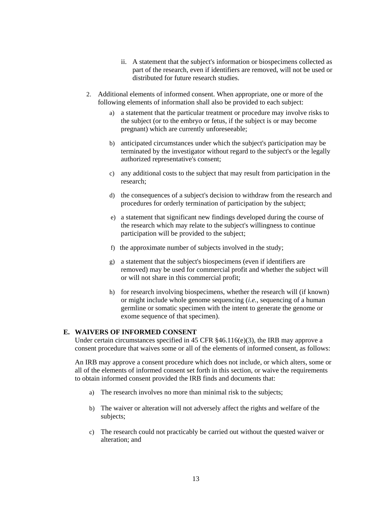- ii. A statement that the subject's information or biospecimens collected as part of the research, even if identifiers are removed, will not be used or distributed for future research studies.
- 2. Additional elements of informed consent. When appropriate, one or more of the following elements of information shall also be provided to each subject:
	- a) a statement that the particular treatment or procedure may involve risks to the subject (or to the embryo or fetus, if the subject is or may become pregnant) which are currently unforeseeable;
	- b) anticipated circumstances under which the subject's participation may be terminated by the investigator without regard to the subject's or the legally authorized representative's consent;
	- c) any additional costs to the subject that may result from participation in the research;
	- d) the consequences of a subject's decision to withdraw from the research and procedures for orderly termination of participation by the subject;
	- e) a statement that significant new findings developed during the course of the research which may relate to the subject's willingness to continue participation will be provided to the subject;
	- f) the approximate number of subjects involved in the study;
	- g) a statement that the subject's biospecimens (even if identifiers are removed) may be used for commercial profit and whether the subject will or will not share in this commercial profit;
	- h) for research involving biospecimens, whether the research will (if known) or might include whole genome sequencing (*i.e.,* sequencing of a human germline or somatic specimen with the intent to generate the genome or exome sequence of that specimen).

## **E. WAIVERS OF INFORMED CONSENT**

Under certain circumstances specified in 45 CFR  $§46.116(e)(3)$ , the IRB may approve a consent procedure that waives some or all of the elements of informed consent, as follows:

An IRB may approve a consent procedure which does not include, or which alters, some or all of the elements of informed consent set forth in this section, or waive the requirements to obtain informed consent provided the IRB finds and documents that:

- a) The research involves no more than minimal risk to the subjects;
- b) The waiver or alteration will not adversely affect the rights and welfare of the subjects;
- c) The research could not practicably be carried out without the quested waiver or alteration; and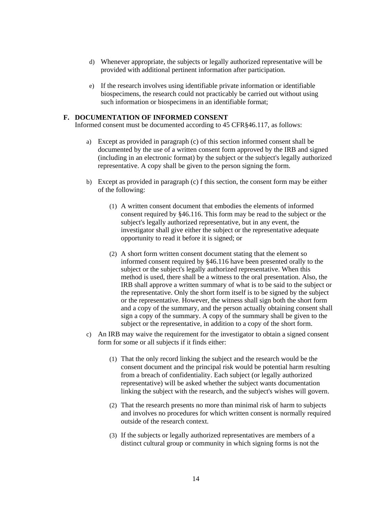- d) Whenever appropriate, the subjects or legally authorized representative will be provided with additional pertinent information after participation.
- e) If the research involves using identifiable private information or identifiable biospecimens, the research could not practicably be carried out without using such information or biospecimens in an identifiable format;

#### **F. DOCUMENTATION OF INFORMED CONSENT**

Informed consent must be documented according to 45 CFR§46.117, as follows:

- a) Except as provided in paragraph (c) of this section informed consent shall be documented by the use of a written consent form approved by the IRB and signed (including in an electronic format) by the subject or the subject's legally authorized representative. A copy shall be given to the person signing the form.
- b) Except as provided in paragraph (c) f this section, the consent form may be either of the following:
	- (1) A written consent document that embodies the elements of informed consent required by §46.116. This form may be read to the subject or the subject's legally authorized representative, but in any event, the investigator shall give either the subject or the representative adequate opportunity to read it before it is signed; or
	- (2) A short form written consent document stating that the element so informed consent required by §46.116 have been presented orally to the subject or the subject's legally authorized representative. When this method is used, there shall be a witness to the oral presentation. Also, the IRB shall approve a written summary of what is to be said to the subject or the representative. Only the short form itself is to be signed by the subject or the representative. However, the witness shall sign both the short form and a copy of the summary, and the person actually obtaining consent shall sign a copy of the summary. A copy of the summary shall be given to the subject or the representative, in addition to a copy of the short form.
- c) An IRB may waive the requirement for the investigator to obtain a signed consent form for some or all subjects if it finds either:
	- (1) That the only record linking the subject and the research would be the consent document and the principal risk would be potential harm resulting from a breach of confidentiality. Each subject (or legally authorized representative) will be asked whether the subject wants documentation linking the subject with the research, and the subject's wishes will govern.
	- (2) That the research presents no more than minimal risk of harm to subjects and involves no procedures for which written consent is normally required outside of the research context.
	- (3) If the subjects or legally authorized representatives are members of a distinct cultural group or community in which signing forms is not the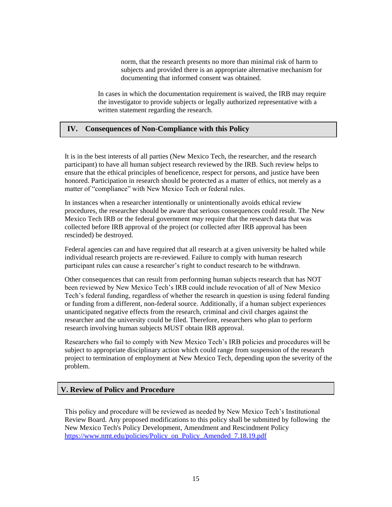norm, that the research presents no more than minimal risk of harm to subjects and provided there is an appropriate alternative mechanism for documenting that informed consent was obtained.

In cases in which the documentation requirement is waived, the IRB may require the investigator to provide subjects or legally authorized representative with a written statement regarding the research.

## **IV. Consequences of Non-Compliance with this Policy**

It is in the best interests of all parties (New Mexico Tech, the researcher, and the research participant) to have all human subject research reviewed by the IRB. Such review helps to ensure that the ethical principles of beneficence, respect for persons, and justice have been honored. Participation in research should be protected as a matter of ethics, not merely as a matter of "compliance" with New Mexico Tech or federal rules.

In instances when a researcher intentionally or unintentionally avoids ethical review procedures, the researcher should be aware that serious consequences could result. The New Mexico Tech IRB or the federal government *may* require that the research data that was collected before IRB approval of the project (or collected after IRB approval has been rescinded) be destroyed.

Federal agencies can and have required that all research at a given university be halted while individual research projects are re-reviewed. Failure to comply with human research participant rules can cause a researcher's right to conduct research to be withdrawn.

Other consequences that can result from performing human subjects research that has NOT been reviewed by New Mexico Tech's IRB could include revocation of all of New Mexico Tech's federal funding, regardless of whether the research in question is using federal funding or funding from a different, non-federal source. Additionally, if a human subject experiences unanticipated negative effects from the research, criminal and civil charges against the researcher and the university could be filed. Therefore, researchers who plan to perform research involving human subjects MUST obtain IRB approval.

Researchers who fail to comply with New Mexico Tech's IRB policies and procedures will be subject to appropriate disciplinary action which could range from suspension of the research project to termination of employment at New Mexico Tech, depending upon the severity of the problem.

## **V. Review of Policy and Procedure**

This policy and procedure will be reviewed as needed by New Mexico Tech's Institutional Review Board. Any proposed modifications to this policy shall be submitted by following the [New Mexico Tech's Policy Development, Amendment and Rescindment Policy](https://www.nmt.edu/policies/Policy_on_Policy_Amended_7.18.19.pdf) [https://www.nmt.edu/policies/Policy\\_on\\_Policy\\_Amended\\_7.18.19.pdf](https://www.nmt.edu/policies/Policy_on_Policy_Amended_7.18.19.pdf)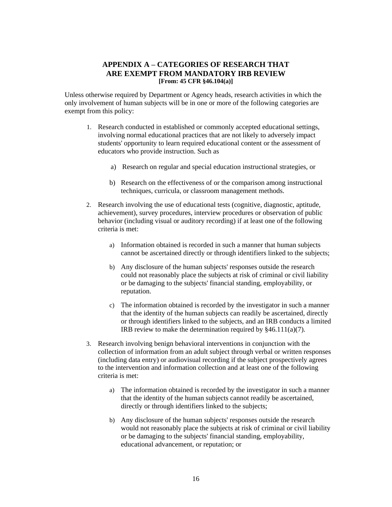# **APPENDIX A – CATEGORIES OF RESEARCH THAT ARE EXEMPT FROM MANDATORY IRB REVIEW [From: 45 CFR §46.104(a)]**

Unless otherwise required by Department or Agency heads, research activities in which the only involvement of human subjects will be in one or more of the following categories are exempt from this policy:

- 1. Research conducted in established or commonly accepted educational settings, involving normal educational practices that are not likely to adversely impact students' opportunity to learn required educational content or the assessment of educators who provide instruction. Such as
	- a) Research on regular and special education instructional strategies, or
	- b) Research on the effectiveness of or the comparison among instructional techniques, curricula, or classroom management methods.
- 2. Research involving the use of educational tests (cognitive, diagnostic, aptitude, achievement), survey procedures, interview procedures or observation of public behavior (including visual or auditory recording) if at least one of the following criteria is met:
	- a) Information obtained is recorded in such a manner that human subjects cannot be ascertained directly or through identifiers linked to the subjects;
	- b) Any disclosure of the human subjects' responses outside the research could not reasonably place the subjects at risk of criminal or civil liability or be damaging to the subjects' financial standing, employability, or reputation.
	- c) The information obtained is recorded by the investigator in such a manner that the identity of the human subjects can readily be ascertained, directly or through identifiers linked to the subjects, and an IRB conducts a limited IRB review to make the determination required by  $§46.111(a)(7)$ .
- 3. Research involving benign behavioral interventions in conjunction with the collection of information from an adult subject through verbal or written responses (including data entry) or audiovisual recording if the subject prospectively agrees to the intervention and information collection and at least one of the following criteria is met:
	- a) The information obtained is recorded by the investigator in such a manner that the identity of the human subjects cannot readily be ascertained, directly or through identifiers linked to the subjects;
	- b) Any disclosure of the human subjects' responses outside the research would not reasonably place the subjects at risk of criminal or civil liability or be damaging to the subjects' financial standing, employability, educational advancement, or reputation; or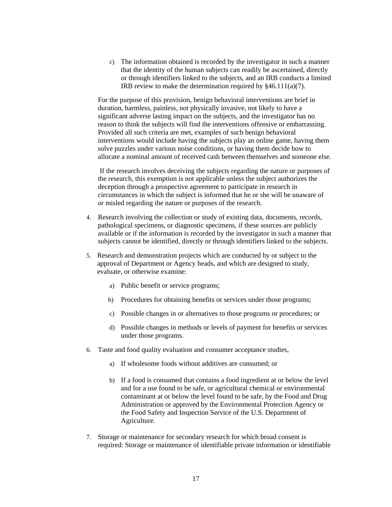c) The information obtained is recorded by the investigator in such a manner that the identity of the human subjects can readily be ascertained, directly or through identifiers linked to the subjects, and an IRB conducts a limited IRB review to make the determination required by  $§46.111(a)(7)$ .

For the purpose of this provision, benign behavioral interventions are brief in duration, harmless, painless, not physically invasive, not likely to have a significant adverse lasting impact on the subjects, and the investigator has no reason to think the subjects will find the interventions offensive or embarrassing. Provided all such criteria are met, examples of such benign behavioral interventions would include having the subjects play an online game, having them solve puzzles under various noise conditions, or having them decide how to allocate a nominal amount of received cash between themselves and someone else.

If the research involves deceiving the subjects regarding the nature or purposes of the research, this exemption is not applicable unless the subject authorizes the deception through a prospective agreement to participate in research in circumstances in which the subject is informed that he or she will be unaware of or misled regarding the nature or purposes of the research.

- 4. Research involving the collection or study of existing data, documents, records, pathological specimens, or diagnostic specimens, if these sources are publicly available or if the information is recorded by the investigator in such a manner that subjects cannot be identified, directly or through identifiers linked to the subjects.
- 5. Research and demonstration projects which are conducted by or subject to the approval of Department or Agency heads, and which are designed to study, evaluate, or otherwise examine:
	- a) Public benefit or service programs;
	- b) Procedures for obtaining benefits or services under those programs;
	- c) Possible changes in or alternatives to those programs or procedures; or
	- d) Possible changes in methods or levels of payment for benefits or services under those programs.
- 6. Taste and food quality evaluation and consumer acceptance studies,
	- a) If wholesome foods without additives are consumed; or
	- b) If a food is consumed that contains a food ingredient at or below the level and for a use found to be safe, or agricultural chemical or environmental contaminant at or below the level found to be safe, by the Food and Drug Administration or approved by the Environmental Protection Agency or the Food Safety and Inspection Service of the U.S. Department of Agriculture.
- 7. Storage or maintenance for secondary research for which broad consent is required: Storage or maintenance of identifiable private information or identifiable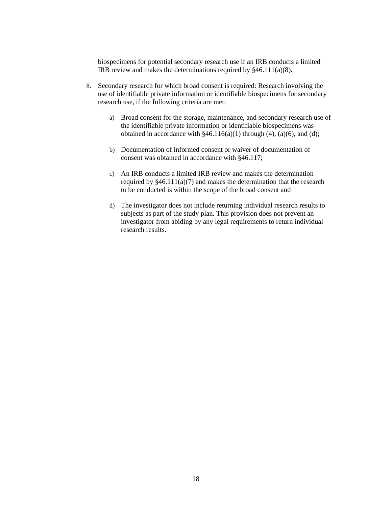biospecimens for potential secondary research use if an IRB conducts a limited IRB review and makes the determinations required by §46.111(a)(8).

- 8. Secondary research for which broad consent is required: Research involving the use of identifiable private information or identifiable biospecimens for secondary research use, if the following criteria are met:
	- a) Broad consent for the storage, maintenance, and secondary research use of the identifiable private information or identifiable biospecimens was obtained in accordance with  $§46.116(a)(1)$  through  $(4)$ ,  $(a)(6)$ , and  $(d)$ ;
	- b) Documentation of informed consent or waiver of documentation of consent was obtained in accordance with §46.117;
	- c) An IRB conducts a limited IRB review and makes the determination required by  $§46.111(a)(7)$  and makes the determination that the research to be conducted is within the scope of the broad consent and
	- d) The investigator does not include returning individual research results to subjects as part of the study plan. This provision does not prevent an investigator from abiding by any legal requirements to return individual research results.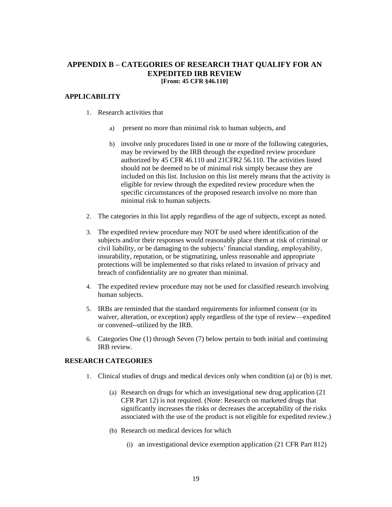## **APPENDIX B – CATEGORIES OF RESEARCH THAT QUALIFY FOR AN EXPEDITED IRB REVIEW [From: 45 CFR §46.110]**

# **APPLICABILITY**

- 1. Research activities that
	- a) present no more than minimal risk to human subjects, and
	- b) involve only procedures listed in one or more of the following categories, may be reviewed by the IRB through the expedited review procedure authorized by 45 CFR 46.110 and 21CFR2 56.110. The activities listed should not be deemed to be of minimal risk simply because they are included on this list. Inclusion on this list merely means that the activity is eligible for review through the expedited review procedure when the specific circumstances of the proposed research involve no more than minimal risk to human subjects.
- 2. The categories in this list apply regardless of the age of subjects, except as noted.
- 3. The expedited review procedure may NOT be used where identification of the subjects and/or their responses would reasonably place them at risk of criminal or civil liability, or be damaging to the subjects' financial standing, employability, insurability, reputation, or be stigmatizing, unless reasonable and appropriate protections will be implemented so that risks related to invasion of privacy and breach of confidentiality are no greater than minimal.
- 4. The expedited review procedure may not be used for classified research involving human subjects.
- 5. IRBs are reminded that the standard requirements for informed consent (or its waiver, alteration, or exception) apply regardless of the type of review—expedited or convened--utilized by the IRB.
- 6. Categories One (1) through Seven (7) below pertain to both initial and continuing IRB review.

## **RESEARCH CATEGORIES**

- 1. Clinical studies of drugs and medical devices only when condition (a) or (b) is met.
	- (a) Research on drugs for which an investigational new drug application (21 CFR Part 12) is not required. (Note: Research on marketed drugs that significantly increases the risks or decreases the acceptability of the risks associated with the use of the product is not eligible for expedited review.)
	- (b) Research on medical devices for which
		- (i) an investigational device exemption application (21 CFR Part 812)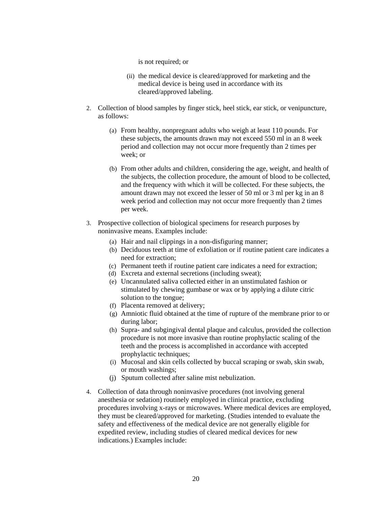is not required; or

- (ii) the medical device is cleared/approved for marketing and the medical device is being used in accordance with its cleared/approved labeling.
- 2. Collection of blood samples by finger stick, heel stick, ear stick, or venipuncture, as follows:
	- (a) From healthy, nonpregnant adults who weigh at least 110 pounds. For these subjects, the amounts drawn may not exceed 550 ml in an 8 week period and collection may not occur more frequently than 2 times per week; or
	- (b) From other adults and children, considering the age, weight, and health of the subjects, the collection procedure, the amount of blood to be collected, and the frequency with which it will be collected. For these subjects, the amount drawn may not exceed the lesser of 50 ml or 3 ml per kg in an 8 week period and collection may not occur more frequently than 2 times per week.
- 3. Prospective collection of biological specimens for research purposes by noninvasive means. Examples include:
	- (a) Hair and nail clippings in a non-disfiguring manner;
	- (b) Deciduous teeth at time of exfoliation or if routine patient care indicates a need for extraction;
	- (c) Permanent teeth if routine patient care indicates a need for extraction;
	- (d) Excreta and external secretions (including sweat);
	- (e) Uncannulated saliva collected either in an unstimulated fashion or stimulated by chewing gumbase or wax or by applying a dilute citric solution to the tongue;
	- (f) Placenta removed at delivery;
	- (g) Amniotic fluid obtained at the time of rupture of the membrane prior to or during labor;
	- (h) Supra- and subgingival dental plaque and calculus, provided the collection procedure is not more invasive than routine prophylactic scaling of the teeth and the process is accomplished in accordance with accepted prophylactic techniques;
	- (i) Mucosal and skin cells collected by buccal scraping or swab, skin swab, or mouth washings;
	- (j) Sputum collected after saline mist nebulization.
- 4. Collection of data through noninvasive procedures (not involving general anesthesia or sedation) routinely employed in clinical practice, excluding procedures involving x-rays or microwaves. Where medical devices are employed, they must be cleared/approved for marketing. (Studies intended to evaluate the safety and effectiveness of the medical device are not generally eligible for expedited review, including studies of cleared medical devices for new indications.) Examples include: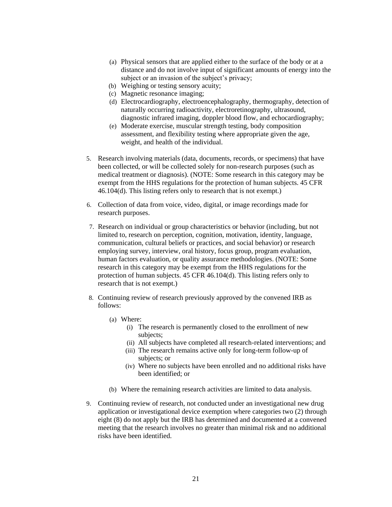- (a) Physical sensors that are applied either to the surface of the body or at a distance and do not involve input of significant amounts of energy into the subject or an invasion of the subject's privacy;
- (b) Weighing or testing sensory acuity;
- (c) Magnetic resonance imaging;
- (d) Electrocardiography, electroencephalography, thermography, detection of naturally occurring radioactivity, electroretinography, ultrasound, diagnostic infrared imaging, doppler blood flow, and echocardiography;
- (e) Moderate exercise, muscular strength testing, body composition assessment, and flexibility testing where appropriate given the age, weight, and health of the individual.
- 5. Research involving materials (data, documents, records, or specimens) that have been collected, or will be collected solely for non-research purposes (such as medical treatment or diagnosis). (NOTE: Some research in this category may be exempt from the HHS regulations for the protection of human subjects. 45 CFR 46.104(d). This listing refers only to research that is not exempt.)
- 6. Collection of data from voice, video, digital, or image recordings made for research purposes.
- 7. Research on individual or group characteristics or behavior (including, but not limited to, research on perception, cognition, motivation, identity, language, communication, cultural beliefs or practices, and social behavior) or research employing survey, interview, oral history, focus group, program evaluation, human factors evaluation, or quality assurance methodologies. (NOTE: Some research in this category may be exempt from the HHS regulations for the protection of human subjects. 45 CFR 46.104(d). This listing refers only to research that is not exempt.)
- 8. Continuing review of research previously approved by the convened IRB as follows:
	- (a) Where:
		- (i) The research is permanently closed to the enrollment of new subjects:
		- (ii) All subjects have completed all research-related interventions; and
		- (iii) The research remains active only for long-term follow-up of subjects; or
		- (iv) Where no subjects have been enrolled and no additional risks have been identified; or
	- (b) Where the remaining research activities are limited to data analysis.
- 9. Continuing review of research, not conducted under an investigational new drug application or investigational device exemption where categories two (2) through eight (8) do not apply but the IRB has determined and documented at a convened meeting that the research involves no greater than minimal risk and no additional risks have been identified.